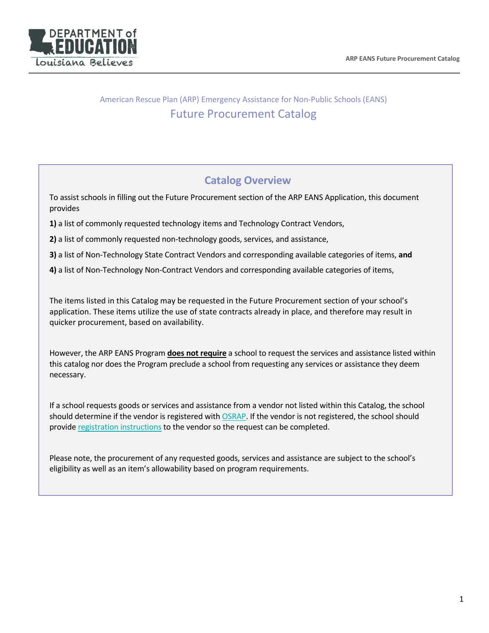

## American Rescue Plan (ARP) Emergency Assistance for Non-Public Schools (EANS) Future Procurement Catalog

## **Catalog Overview**

To assist schools in filling out the Future Procurement section of the ARP EANS Application, this document provides

**1)** a list of commonly requested technology items and Technology Contract Vendors,

**2)** a list of commonly requested non-technology goods, services, and assistance,

**3)** a list of Non-Technology State Contract Vendors and corresponding available categories of items, **and**

**4)** a list of Non-Technology Non-Contract Vendors and corresponding available categories of items,

The items listed in this Catalog may be requested in the Future Procurement section of your school's application. These items utilize the use of state contracts already in place, and therefore may result in quicker procurement, based on availability.

However, the ARP EANS Program **does not require** a school to request the services and assistance listed within this catalog nor does the Program preclude a school from requesting any services or assistance they deem necessary.

If a school requests goods or services and assistance from a vendor not listed within this Catalog, the school should determine if the vendor is registered with [OSRAP.](https://wwwcfprd.doa.louisiana.gov/OSP/LaPAC/vendor/srchven2.cfm) If the vendor is not registered, the school should provide [registration instructions](https://lagoverpvendor.doa.louisiana.gov/irj/portal/anonymous?guest_user=self_reg) to the vendor so the request can be completed.

Please note, the procurement of any requested goods, services and assistance are subject to the school's eligibility as well as an item's allowability based on program requirements.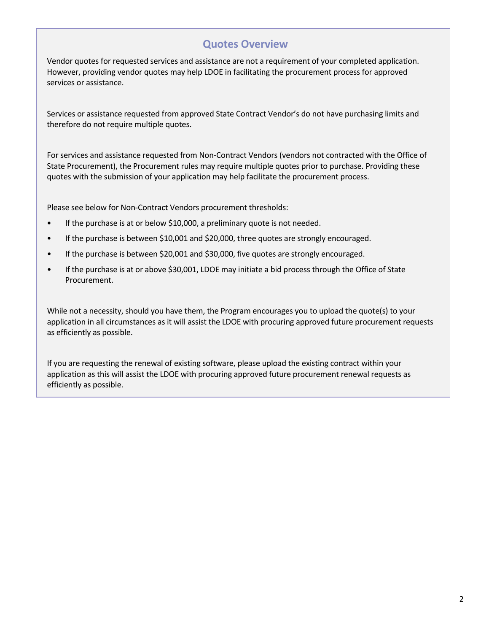## **Quotes Overview**

Vendor quotes for requested services and assistance are not a requirement of your completed application. However, providing vendor quotes may help LDOE in facilitating the procurement process for approved services or assistance.

Services or assistance requested from approved State Contract Vendor's do not have purchasing limits and therefore do not require multiple quotes.

For services and assistance requested from Non-Contract Vendors (vendors not contracted with the Office of State Procurement), the Procurement rules may require multiple quotes prior to purchase. Providing these quotes with the submission of your application may help facilitate the procurement process.

Please see below for Non-Contract Vendors procurement thresholds:

- If the purchase is at or below \$10,000, a preliminary quote is not needed.
- If the purchase is between \$10,001 and \$20,000, three quotes are strongly encouraged.
- If the purchase is between \$20,001 and \$30,000, five quotes are strongly encouraged.
- If the purchase is at or above \$30,001, LDOE may initiate a bid process through the Office of State Procurement.

While not a necessity, should you have them, the Program encourages you to upload the quote(s) to your application in all circumstances as it will assist the LDOE with procuring approved future procurement requests as efficiently as possible.

If you are requesting the renewal of existing software, please upload the existing contract within your application as this will assist the LDOE with procuring approved future procurement renewal requests as efficiently as possible.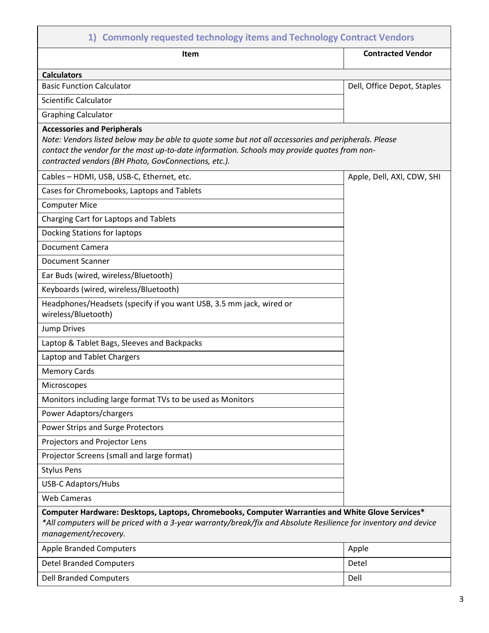| 1) Commonly requested technology items and Technology Contract Vendors                                                                                                                                                                                                                             |                             |  |
|----------------------------------------------------------------------------------------------------------------------------------------------------------------------------------------------------------------------------------------------------------------------------------------------------|-----------------------------|--|
| Item                                                                                                                                                                                                                                                                                               | <b>Contracted Vendor</b>    |  |
| <b>Calculators</b>                                                                                                                                                                                                                                                                                 |                             |  |
| <b>Basic Function Calculator</b>                                                                                                                                                                                                                                                                   | Dell, Office Depot, Staples |  |
| <b>Scientific Calculator</b>                                                                                                                                                                                                                                                                       |                             |  |
| <b>Graphing Calculator</b>                                                                                                                                                                                                                                                                         |                             |  |
| <b>Accessories and Peripherals</b><br>Note: Vendors listed below may be able to quote some but not all accessories and peripherals. Please<br>contact the vendor for the most up-to-date information. Schools may provide quotes from non-<br>contracted vendors (BH Photo, GovConnections, etc.). |                             |  |
| Cables - HDMI, USB, USB-C, Ethernet, etc.                                                                                                                                                                                                                                                          | Apple, Dell, AXI, CDW, SHI  |  |
| Cases for Chromebooks, Laptops and Tablets                                                                                                                                                                                                                                                         |                             |  |
| <b>Computer Mice</b>                                                                                                                                                                                                                                                                               |                             |  |
| Charging Cart for Laptops and Tablets                                                                                                                                                                                                                                                              |                             |  |
| Docking Stations for laptops                                                                                                                                                                                                                                                                       |                             |  |
| <b>Document Camera</b>                                                                                                                                                                                                                                                                             |                             |  |
| <b>Document Scanner</b>                                                                                                                                                                                                                                                                            |                             |  |
| Ear Buds (wired, wireless/Bluetooth)                                                                                                                                                                                                                                                               |                             |  |
| Keyboards (wired, wireless/Bluetooth)                                                                                                                                                                                                                                                              |                             |  |
| Headphones/Headsets (specify if you want USB, 3.5 mm jack, wired or<br>wireless/Bluetooth)                                                                                                                                                                                                         |                             |  |
| <b>Jump Drives</b>                                                                                                                                                                                                                                                                                 |                             |  |
| Laptop & Tablet Bags, Sleeves and Backpacks                                                                                                                                                                                                                                                        |                             |  |
| Laptop and Tablet Chargers                                                                                                                                                                                                                                                                         |                             |  |
| <b>Memory Cards</b>                                                                                                                                                                                                                                                                                |                             |  |
| Microscopes                                                                                                                                                                                                                                                                                        |                             |  |
| Monitors including large format TVs to be used as Monitors                                                                                                                                                                                                                                         |                             |  |
| Power Adaptors/chargers                                                                                                                                                                                                                                                                            |                             |  |
| Power Strips and Surge Protectors                                                                                                                                                                                                                                                                  |                             |  |
| Projectors and Projector Lens                                                                                                                                                                                                                                                                      |                             |  |
| Projector Screens (small and large format)                                                                                                                                                                                                                                                         |                             |  |
| <b>Stylus Pens</b>                                                                                                                                                                                                                                                                                 |                             |  |
| <b>USB-C Adaptors/Hubs</b>                                                                                                                                                                                                                                                                         |                             |  |
| <b>Web Cameras</b>                                                                                                                                                                                                                                                                                 |                             |  |
| Computer Hardware: Desktops, Laptops, Chromebooks, Computer Warranties and White Glove Services*<br>*All computers will be priced with a 3-year warranty/break/fix and Absolute Resilience for inventory and device<br>management/recovery.                                                        |                             |  |
| <b>Apple Branded Computers</b>                                                                                                                                                                                                                                                                     | Apple                       |  |
| <b>Detel Branded Computers</b>                                                                                                                                                                                                                                                                     | Detel                       |  |
| <b>Dell Branded Computers</b>                                                                                                                                                                                                                                                                      | Dell                        |  |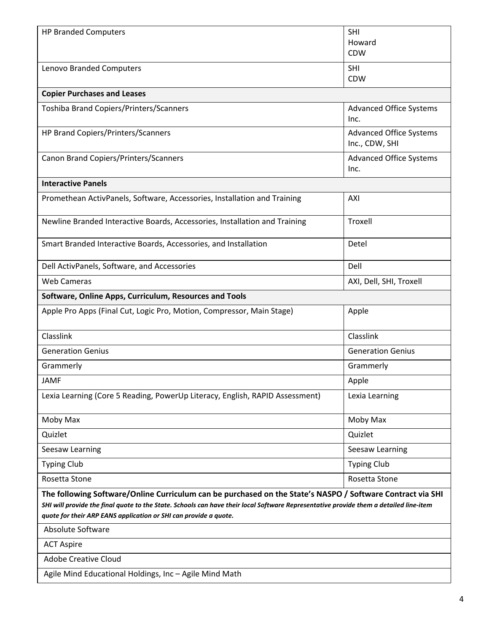| <b>HP Branded Computers</b>                                                                                                                                                                                                                                                                                             | <b>SHI</b><br>Howard<br><b>CDW</b>               |  |  |
|-------------------------------------------------------------------------------------------------------------------------------------------------------------------------------------------------------------------------------------------------------------------------------------------------------------------------|--------------------------------------------------|--|--|
| Lenovo Branded Computers                                                                                                                                                                                                                                                                                                | <b>SHI</b><br><b>CDW</b>                         |  |  |
| <b>Copier Purchases and Leases</b>                                                                                                                                                                                                                                                                                      |                                                  |  |  |
| Toshiba Brand Copiers/Printers/Scanners                                                                                                                                                                                                                                                                                 | <b>Advanced Office Systems</b><br>Inc.           |  |  |
| HP Brand Copiers/Printers/Scanners                                                                                                                                                                                                                                                                                      | <b>Advanced Office Systems</b><br>Inc., CDW, SHI |  |  |
| Canon Brand Copiers/Printers/Scanners                                                                                                                                                                                                                                                                                   | <b>Advanced Office Systems</b><br>Inc.           |  |  |
| <b>Interactive Panels</b>                                                                                                                                                                                                                                                                                               |                                                  |  |  |
| Promethean ActivPanels, Software, Accessories, Installation and Training                                                                                                                                                                                                                                                | AXI                                              |  |  |
| Newline Branded Interactive Boards, Accessories, Installation and Training                                                                                                                                                                                                                                              | Troxell                                          |  |  |
| Smart Branded Interactive Boards, Accessories, and Installation                                                                                                                                                                                                                                                         | Detel                                            |  |  |
| Dell ActivPanels, Software, and Accessories                                                                                                                                                                                                                                                                             | Dell                                             |  |  |
| <b>Web Cameras</b>                                                                                                                                                                                                                                                                                                      | AXI, Dell, SHI, Troxell                          |  |  |
| Software, Online Apps, Curriculum, Resources and Tools                                                                                                                                                                                                                                                                  |                                                  |  |  |
| Apple Pro Apps (Final Cut, Logic Pro, Motion, Compressor, Main Stage)                                                                                                                                                                                                                                                   | Apple                                            |  |  |
| Classlink                                                                                                                                                                                                                                                                                                               | Classlink                                        |  |  |
| <b>Generation Genius</b>                                                                                                                                                                                                                                                                                                | <b>Generation Genius</b>                         |  |  |
| Grammerly                                                                                                                                                                                                                                                                                                               | Grammerly                                        |  |  |
| IAMF                                                                                                                                                                                                                                                                                                                    | Apple                                            |  |  |
| Lexia Learning (Core 5 Reading, PowerUp Literacy, English, RAPID Assessment)                                                                                                                                                                                                                                            | Lexia Learning                                   |  |  |
| Moby Max                                                                                                                                                                                                                                                                                                                | Moby Max                                         |  |  |
| Quizlet                                                                                                                                                                                                                                                                                                                 | Quizlet                                          |  |  |
| Seesaw Learning                                                                                                                                                                                                                                                                                                         | Seesaw Learning                                  |  |  |
| <b>Typing Club</b>                                                                                                                                                                                                                                                                                                      | <b>Typing Club</b>                               |  |  |
| Rosetta Stone                                                                                                                                                                                                                                                                                                           | Rosetta Stone                                    |  |  |
| The following Software/Online Curriculum can be purchased on the State's NASPO / Software Contract via SHI<br>SHI will provide the final quote to the State. Schools can have their local Software Representative provide them a detailed line-item<br>quote for their ARP EANS application or SHI can provide a quote. |                                                  |  |  |
| <b>Absolute Software</b>                                                                                                                                                                                                                                                                                                |                                                  |  |  |
| <b>ACT Aspire</b>                                                                                                                                                                                                                                                                                                       |                                                  |  |  |
| <b>Adobe Creative Cloud</b>                                                                                                                                                                                                                                                                                             |                                                  |  |  |
| Agile Mind Educational Holdings, Inc - Agile Mind Math                                                                                                                                                                                                                                                                  |                                                  |  |  |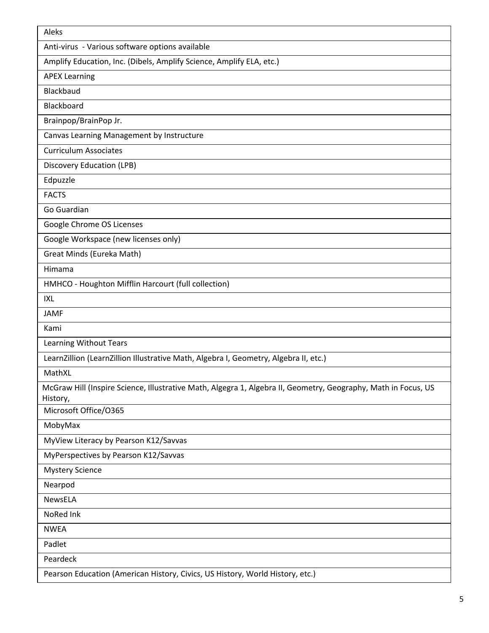| Aleks                                                                                                                      |
|----------------------------------------------------------------------------------------------------------------------------|
| Anti-virus - Various software options available                                                                            |
| Amplify Education, Inc. (Dibels, Amplify Science, Amplify ELA, etc.)                                                       |
| <b>APEX Learning</b>                                                                                                       |
| Blackbaud                                                                                                                  |
| Blackboard                                                                                                                 |
| Brainpop/BrainPop Jr.                                                                                                      |
| Canvas Learning Management by Instructure                                                                                  |
| <b>Curriculum Associates</b>                                                                                               |
| Discovery Education (LPB)                                                                                                  |
| Edpuzzle                                                                                                                   |
| <b>FACTS</b>                                                                                                               |
| Go Guardian                                                                                                                |
| Google Chrome OS Licenses                                                                                                  |
| Google Workspace (new licenses only)                                                                                       |
| Great Minds (Eureka Math)                                                                                                  |
| Himama                                                                                                                     |
| HMHCO - Houghton Mifflin Harcourt (full collection)                                                                        |
| <b>IXL</b>                                                                                                                 |
| <b>JAMF</b>                                                                                                                |
| Kami                                                                                                                       |
| <b>Learning Without Tears</b>                                                                                              |
| LearnZillion (LearnZillion Illustrative Math, Algebra I, Geometry, Algebra II, etc.)                                       |
| MathXL                                                                                                                     |
| McGraw Hill (Inspire Science, Illustrative Math, Algegra 1, Algebra II, Geometry, Geography, Math in Focus, US<br>History, |
| Microsoft Office/0365                                                                                                      |
| MobyMax                                                                                                                    |
| MyView Literacy by Pearson K12/Savvas                                                                                      |
| MyPerspectives by Pearson K12/Savvas                                                                                       |
| <b>Mystery Science</b>                                                                                                     |
| Nearpod                                                                                                                    |
| NewsELA                                                                                                                    |
| NoRed Ink                                                                                                                  |
| <b>NWEA</b>                                                                                                                |
| Padlet                                                                                                                     |
| Peardeck                                                                                                                   |
| Pearson Education (American History, Civics, US History, World History, etc.)                                              |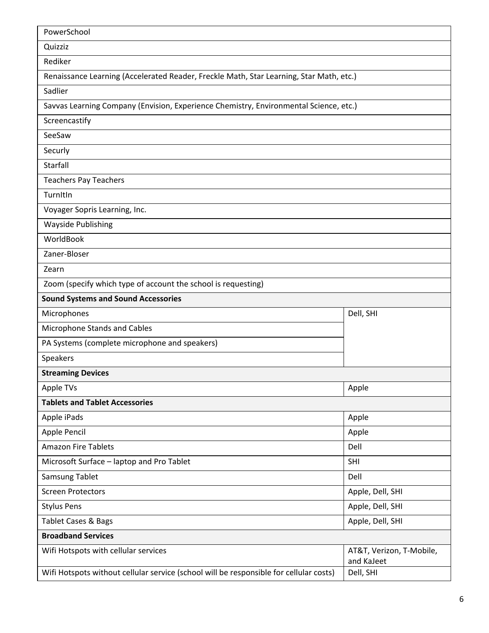| PowerSchool                                                                             |                                        |  |
|-----------------------------------------------------------------------------------------|----------------------------------------|--|
| Quizziz                                                                                 |                                        |  |
| Rediker                                                                                 |                                        |  |
| Renaissance Learning (Accelerated Reader, Freckle Math, Star Learning, Star Math, etc.) |                                        |  |
| Sadlier                                                                                 |                                        |  |
| Savvas Learning Company (Envision, Experience Chemistry, Environmental Science, etc.)   |                                        |  |
| Screencastify                                                                           |                                        |  |
| SeeSaw                                                                                  |                                        |  |
| Securly                                                                                 |                                        |  |
| Starfall                                                                                |                                        |  |
| <b>Teachers Pay Teachers</b>                                                            |                                        |  |
| TurnItIn                                                                                |                                        |  |
| Voyager Sopris Learning, Inc.                                                           |                                        |  |
| <b>Wayside Publishing</b>                                                               |                                        |  |
| WorldBook                                                                               |                                        |  |
| Zaner-Bloser                                                                            |                                        |  |
| Zearn                                                                                   |                                        |  |
| Zoom (specify which type of account the school is requesting)                           |                                        |  |
| <b>Sound Systems and Sound Accessories</b>                                              |                                        |  |
| Microphones                                                                             | Dell, SHI                              |  |
| Microphone Stands and Cables                                                            |                                        |  |
| PA Systems (complete microphone and speakers)                                           |                                        |  |
| Speakers                                                                                |                                        |  |
| <b>Streaming Devices</b>                                                                |                                        |  |
| Apple TVs                                                                               | Apple                                  |  |
| <b>Tablets and Tablet Accessories</b>                                                   |                                        |  |
| Apple iPads                                                                             | Apple                                  |  |
| Apple Pencil                                                                            | Apple                                  |  |
| <b>Amazon Fire Tablets</b>                                                              | Dell                                   |  |
| Microsoft Surface - laptop and Pro Tablet                                               | SHI                                    |  |
| Samsung Tablet                                                                          | Dell                                   |  |
| <b>Screen Protectors</b>                                                                | Apple, Dell, SHI                       |  |
| <b>Stylus Pens</b>                                                                      | Apple, Dell, SHI                       |  |
| Tablet Cases & Bags<br>Apple, Dell, SHI                                                 |                                        |  |
| <b>Broadband Services</b>                                                               |                                        |  |
| Wifi Hotspots with cellular services                                                    | AT&T, Verizon, T-Mobile,<br>and KaJeet |  |
| Wifi Hotspots without cellular service (school will be responsible for cellular costs)  | Dell, SHI                              |  |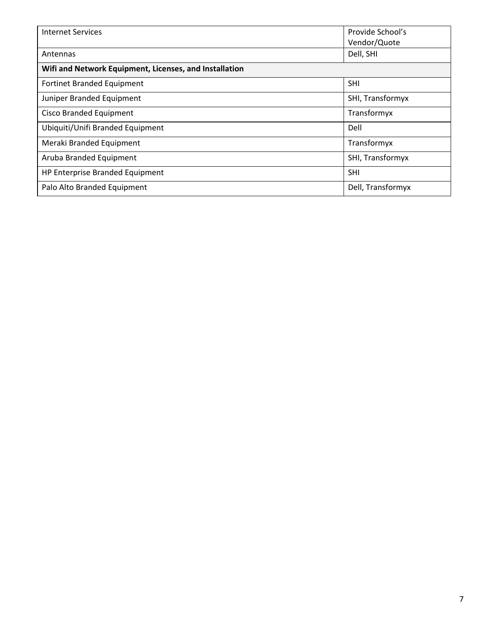| Internet Services                                      | Provide School's<br>Vendor/Quote |  |
|--------------------------------------------------------|----------------------------------|--|
| Antennas                                               | Dell, SHI                        |  |
| Wifi and Network Equipment, Licenses, and Installation |                                  |  |
| Fortinet Branded Equipment                             | <b>SHI</b>                       |  |
| Juniper Branded Equipment                              | SHI, Transformyx                 |  |
| <b>Cisco Branded Equipment</b>                         | Transformyx                      |  |
| Ubiquiti/Unifi Branded Equipment                       | Dell                             |  |
| Meraki Branded Equipment                               | Transformyx                      |  |
| Aruba Branded Equipment                                | SHI, Transformyx                 |  |
| HP Enterprise Branded Equipment                        | <b>SHI</b>                       |  |
| Palo Alto Branded Equipment                            | Dell, Transformyx                |  |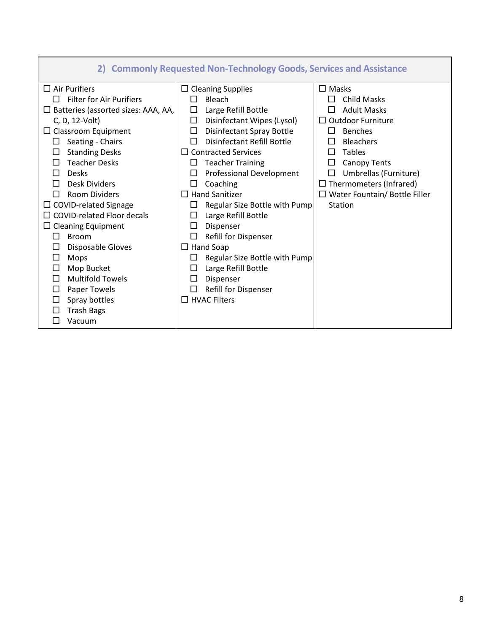| 2) Commonly Requested Non-Technology Goods, Services and Assistance                                                                                                                                                                                                                                                                                                                                                                                                                                                                                                                                                                                                                                                                                                                                                                                                                                                                                                                                                                                                                                                                                                                                                                                                                                                                                                                                           |                     |                                      |
|---------------------------------------------------------------------------------------------------------------------------------------------------------------------------------------------------------------------------------------------------------------------------------------------------------------------------------------------------------------------------------------------------------------------------------------------------------------------------------------------------------------------------------------------------------------------------------------------------------------------------------------------------------------------------------------------------------------------------------------------------------------------------------------------------------------------------------------------------------------------------------------------------------------------------------------------------------------------------------------------------------------------------------------------------------------------------------------------------------------------------------------------------------------------------------------------------------------------------------------------------------------------------------------------------------------------------------------------------------------------------------------------------------------|---------------------|--------------------------------------|
| $\Box$ Air Purifiers<br>$\Box$ Cleaning Supplies<br>$\Box$ Masks<br><b>Filter for Air Purifiers</b><br>Bleach<br><b>Child Masks</b><br>П<br>П<br>Large Refill Bottle<br><b>Adult Masks</b><br>$\Box$ Batteries (assorted sizes: AAA, AA,<br>□<br>LΙ<br>$\Box$ Outdoor Furniture<br>C, D, 12-Volt)<br>Disinfectant Wipes (Lysol)<br>ப<br>$\Box$ Classroom Equipment<br>Disinfectant Spray Bottle<br><b>Benches</b><br>$\mathsf{L}$<br>ΙI<br><b>Disinfectant Refill Bottle</b><br>Seating - Chairs<br><b>Bleachers</b><br>П<br><b>Standing Desks</b><br>$\Box$ Contracted Services<br><b>Tables</b><br>П<br><b>Teacher Desks</b><br><b>Teacher Training</b><br><b>Canopy Tents</b><br>$\perp$<br>ப<br>ΙI<br><b>Desks</b><br>Professional Development<br>Umbrellas (Furniture)<br>П<br>П<br><b>Desk Dividers</b><br>$\Box$ Thermometers (Infrared)<br>Coaching<br>П<br>ΙI<br>$\Box$ Hand Sanitizer<br><b>Room Dividers</b><br>□ COVID-related Signage<br>Regular Size Bottle with Pump<br>Station<br>$\Box$ COVID-related Floor decals<br>Large Refill Bottle<br>$\Box$ Cleaning Equipment<br>П<br>Dispenser<br>Refill for Dispenser<br>П<br><b>Broom</b><br>⊔<br>$\Box$ Hand Soap<br>Disposable Gloves<br>ப<br>Regular Size Bottle with Pump<br>Mops<br>$\mathsf{L}$<br>Mop Bucket<br>Large Refill Bottle<br>ΙI<br><b>Multifold Towels</b><br>Dispenser<br>П<br>Paper Towels<br>Refill for Dispenser<br>$\perp$ |                     | $\Box$ Water Fountain/ Bottle Filler |
| Spray bottles<br>□<br><b>Trash Bags</b><br>Vacuum                                                                                                                                                                                                                                                                                                                                                                                                                                                                                                                                                                                                                                                                                                                                                                                                                                                                                                                                                                                                                                                                                                                                                                                                                                                                                                                                                             | $\Box$ HVAC Filters |                                      |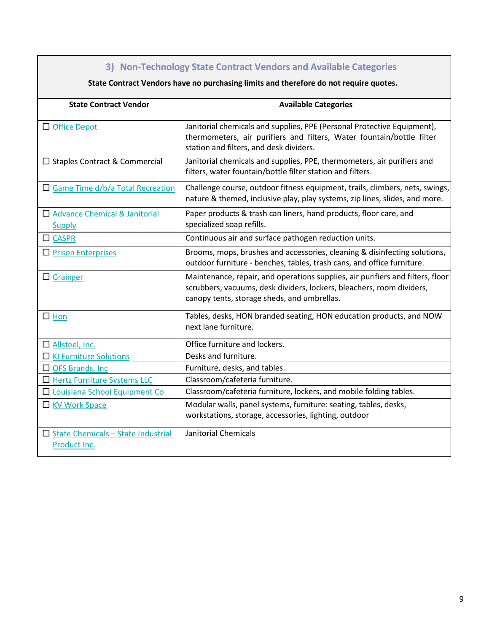| 3) Non-Technology State Contract Vendors and Available Categories                     |                                                                                                                                                                                                        |  |
|---------------------------------------------------------------------------------------|--------------------------------------------------------------------------------------------------------------------------------------------------------------------------------------------------------|--|
| State Contract Vendors have no purchasing limits and therefore do not require quotes. |                                                                                                                                                                                                        |  |
| <b>State Contract Vendor</b>                                                          | <b>Available Categories</b>                                                                                                                                                                            |  |
| □ Office Depot                                                                        | Janitorial chemicals and supplies, PPE (Personal Protective Equipment),<br>thermometers, air purifiers and filters, Water fountain/bottle filter<br>station and filters, and desk dividers.            |  |
| □ Staples Contract & Commercial                                                       | Janitorial chemicals and supplies, PPE, thermometers, air purifiers and<br>filters, water fountain/bottle filter station and filters.                                                                  |  |
| $\Box$ Game Time d/b/a Total Recreation                                               | Challenge course, outdoor fitness equipment, trails, climbers, nets, swings,<br>nature & themed, inclusive play, play systems, zip lines, slides, and more.                                            |  |
| Advance Chemical & Janitorial<br><b>Supply</b>                                        | Paper products & trash can liners, hand products, floor care, and<br>specialized soap refills.                                                                                                         |  |
| $\Box$ CASPR                                                                          | Continuous air and surface pathogen reduction units.                                                                                                                                                   |  |
| $\Box$ Prison Enterprises                                                             | Brooms, mops, brushes and accessories, cleaning & disinfecting solutions,<br>outdoor furniture - benches, tables, trash cans, and office furniture.                                                    |  |
| $\Box$ Grainger                                                                       | Maintenance, repair, and operations supplies, air purifiers and filters, floor<br>scrubbers, vacuums, desk dividers, lockers, bleachers, room dividers,<br>canopy tents, storage sheds, and umbrellas. |  |
| $\square$ Hon                                                                         | Tables, desks, HON branded seating, HON education products, and NOW<br>next lane furniture.                                                                                                            |  |
| $\Box$ Allsteel, Inc.                                                                 | Office furniture and lockers.                                                                                                                                                                          |  |
| <b>N</b> KI Furniture Solutions                                                       | Desks and furniture.                                                                                                                                                                                   |  |
| $\Box$ OFS Brands, Inc                                                                | Furniture, desks, and tables.                                                                                                                                                                          |  |
| Hertz Furniture Systems LLC                                                           | Classroom/cafeteria furniture.                                                                                                                                                                         |  |
| □ Louisiana School Equipment Co                                                       | Classroom/cafeteria furniture, lockers, and mobile folding tables.                                                                                                                                     |  |
| KV Work Space                                                                         | Modular walls, panel systems, furniture: seating, tables, desks,<br>workstations, storage, accessories, lighting, outdoor                                                                              |  |
| $\Box$ State Chemicals - State Industrial<br>Product Inc.                             | Janitorial Chemicals                                                                                                                                                                                   |  |

H